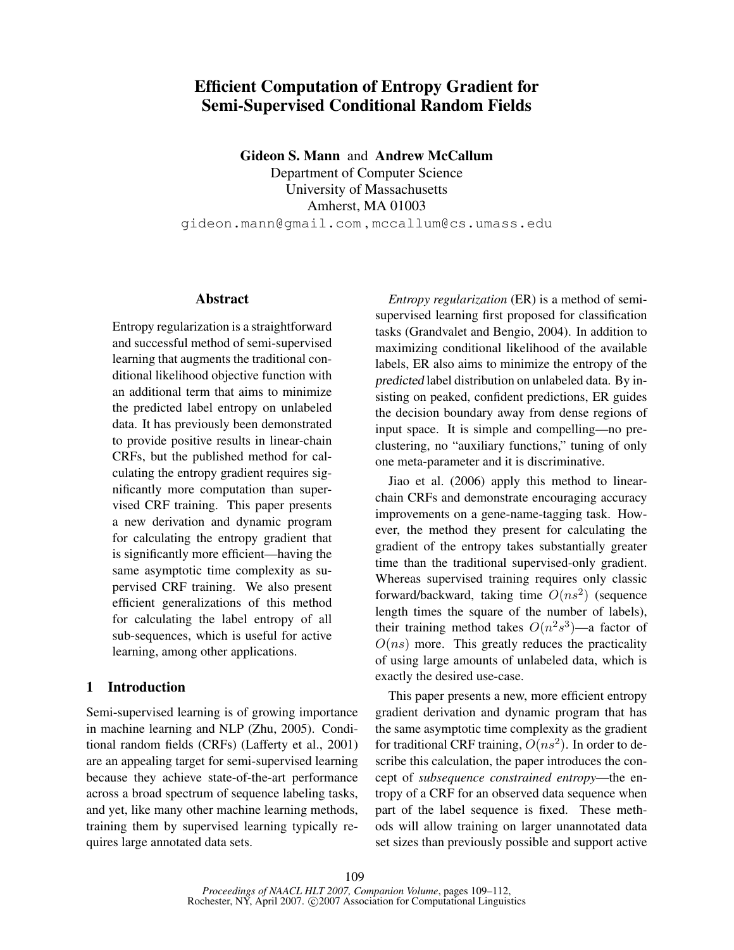# Efficient Computation of Entropy Gradient for Semi-Supervised Conditional Random Fields

Gideon S. Mann and Andrew McCallum

Department of Computer Science University of Massachusetts Amherst, MA 01003 gideon.mann@gmail.com , mccallum@cs.umass.edu

#### Abstract

Entropy regularization is a straightforward and successful method of semi-supervised learning that augments the traditional conditional likelihood objective function with an additional term that aims to minimize the predicted label entropy on unlabeled data. It has previously been demonstrated to provide positive results in linear-chain CRFs, but the published method for calculating the entropy gradient requires significantly more computation than supervised CRF training. This paper presents a new derivation and dynamic program for calculating the entropy gradient that is significantly more efficient—having the same asymptotic time complexity as supervised CRF training. We also present efficient generalizations of this method for calculating the label entropy of all sub-sequences, which is useful for active learning, among other applications.

## 1 Introduction

Semi-supervised learning is of growing importance in machine learning and NLP (Zhu, 2005). Conditional random fields (CRFs) (Lafferty et al., 2001) are an appealing target for semi-supervised learning because they achieve state-of-the-art performance across a broad spectrum of sequence labeling tasks, and yet, like many other machine learning methods, training them by supervised learning typically requires large annotated data sets.

*Entropy regularization* (ER) is a method of semisupervised learning first proposed for classification tasks (Grandvalet and Bengio, 2004). In addition to maximizing conditional likelihood of the available labels, ER also aims to minimize the entropy of the predicted label distribution on unlabeled data. By insisting on peaked, confident predictions, ER guides the decision boundary away from dense regions of input space. It is simple and compelling—no preclustering, no "auxiliary functions," tuning of only one meta-parameter and it is discriminative.

Jiao et al. (2006) apply this method to linearchain CRFs and demonstrate encouraging accuracy improvements on a gene-name-tagging task. However, the method they present for calculating the gradient of the entropy takes substantially greater time than the traditional supervised-only gradient. Whereas supervised training requires only classic forward/backward, taking time  $O(n s^2)$  (sequence length times the square of the number of labels), their training method takes  $O(n^2s^3)$ —a factor of  $O(ns)$  more. This greatly reduces the practicality of using large amounts of unlabeled data, which is exactly the desired use-case.

This paper presents a new, more efficient entropy gradient derivation and dynamic program that has the same asymptotic time complexity as the gradient for traditional CRF training,  $O(ns^2)$ . In order to describe this calculation, the paper introduces the concept of *subsequence constrained entropy*—the entropy of a CRF for an observed data sequence when part of the label sequence is fixed. These methods will allow training on larger unannotated data set sizes than previously possible and support active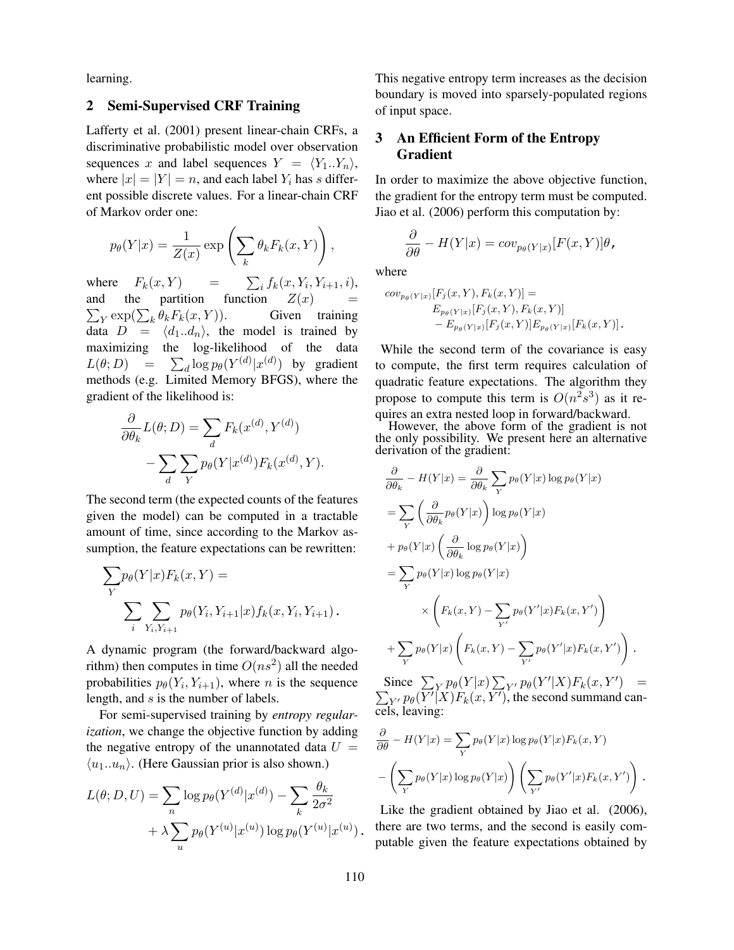learning.

# 2 Semi-Supervised CRF Training

Lafferty et al. (2001) present linear-chain CRFs, a discriminative probabilistic model over observation sequences x and label sequences  $Y = \langle Y_1..Y_n \rangle$ , where  $|x| = |Y| = n$ , and each label  $Y_i$  has s different possible discrete values. For a linear-chain CRF of Markov order one:

$$
p_{\theta}(Y|x) = \frac{1}{Z(x)} \exp\left(\sum_{k} \theta_{k} F_{k}(x, Y)\right),
$$

where  $F_k(x, Y)$  =  ${}_{i} f_{k}(x, Y_{i}, Y_{i+1}, i),$ and the partition function  $Z(x)$  =  $\sum_{Y} \exp(\sum_{k} \theta_{k} F_{k}(x, Y)).$  Given training data  $D = \langle d_1..d_n \rangle$ , the model is trained by maximizing the log-likelihood of the data  $L(\theta; D) = \sum_d \log p_{\theta}(Y^{(d)} | x^{(d)})$  by gradient methods (e.g. Limited Memory BFGS), where the gradient of the likelihood is:

$$
\frac{\partial}{\partial \theta_k} L(\theta; D) = \sum_d F_k(x^{(d)}, Y^{(d)}) - \sum_d \sum_Y p_\theta(Y | x^{(d)}) F_k(x^{(d)}, Y).
$$

The second term (the expected counts of the features given the model) can be computed in a tractable amount of time, since according to the Markov assumption, the feature expectations can be rewritten:

$$
\sum_{Y} p_{\theta}(Y|x) F_k(x, Y) =
$$
  

$$
\sum_{i} \sum_{Y_i, Y_{i+1}} p_{\theta}(Y_i, Y_{i+1}|x) f_k(x, Y_i, Y_{i+1}).
$$

A dynamic program (the forward/backward algorithm) then computes in time  $O(n<sup>2</sup>)$  all the needed probabilities  $p_{\theta}(Y_i, Y_{i+1})$ , where *n* is the sequence length, and s is the number of labels.

For semi-supervised training by *entropy regularization*, we change the objective function by adding the negative entropy of the unannotated data  $U =$  $\langle u_1..u_n \rangle$ . (Here Gaussian prior is also shown.)

$$
L(\theta; D, U) = \sum_{n} \log p_{\theta}(Y^{(d)}|x^{(d)}) - \sum_{k} \frac{\theta_k}{2\sigma^2} + \lambda \sum_{u} p_{\theta}(Y^{(u)}|x^{(u)}) \log p_{\theta}(Y^{(u)}|x^{(u)}).
$$

This negative entropy term increases as the decision boundary is moved into sparsely-populated regions of input space.

# 3 An Efficient Form of the Entropy Gradient

In order to maximize the above objective function, the gradient for the entropy term must be computed. Jiao et al. (2006) perform this computation by:

$$
\frac{\partial}{\partial \theta} - H(Y|x) = cov_{p_{\theta}(Y|x)}[F(x, Y)]\theta,
$$

where

$$
cov_{p_{\theta}(Y|x)}[F_j(x, Y), F_k(x, Y)] =
$$
  
\n
$$
E_{p_{\theta}(Y|x)}[F_j(x, Y), F_k(x, Y)] - E_{p_{\theta}(Y|x)}[F_j(x, Y)]E_{p_{\theta}(Y|x)}[F_k(x, Y)].
$$

While the second term of the covariance is easy to compute, the first term requires calculation of quadratic feature expectations. The algorithm they propose to compute this term is  $O(n^2s^3)$  as it requires an extra nested loop in forward/backward.

However, the above form of the gradient is not the only possibility. We present here an alternative derivation of the gradient:

$$
\frac{\partial}{\partial \theta_k} - H(Y|x) = \frac{\partial}{\partial \theta_k} \sum_{Y} p_{\theta}(Y|x) \log p_{\theta}(Y|x)
$$
  
\n
$$
= \sum_{Y} \left( \frac{\partial}{\partial \theta_k} p_{\theta}(Y|x) \right) \log p_{\theta}(Y|x)
$$
  
\n
$$
+ p_{\theta}(Y|x) \left( \frac{\partial}{\partial \theta_k} \log p_{\theta}(Y|x) \right)
$$
  
\n
$$
= \sum_{Y} p_{\theta}(Y|x) \log p_{\theta}(Y|x)
$$
  
\n
$$
\times \left( F_k(x, Y) - \sum_{Y'} p_{\theta}(Y'|x) F_k(x, Y') \right)
$$
  
\n
$$
+ \sum_{Y} p_{\theta}(Y|x) \left( F_k(x, Y) - \sum_{Y'} p_{\theta}(Y'|x) F_k(x, Y') \right).
$$

Since  $\sum_{Y} p_{\theta}(Y|x) \sum_{Y'} p_{\theta}(Y'|X)F_k(x, Y') =$  $\sum_{Y'} p_{\theta}(\overline{Y'}|X)F_k(x, \overline{Y'}),$  the second summand cancels, leaving:

$$
\frac{\partial}{\partial \theta} - H(Y|x) = \sum_{Y} p_{\theta}(Y|x) \log p_{\theta}(Y|x) F_k(x, Y)
$$

$$
- \left( \sum_{Y} p_{\theta}(Y|x) \log p_{\theta}(Y|x) \right) \left( \sum_{Y'} p_{\theta}(Y'|x) F_k(x, Y') \right).
$$

Like the gradient obtained by Jiao et al. (2006), there are two terms, and the second is easily computable given the feature expectations obtained by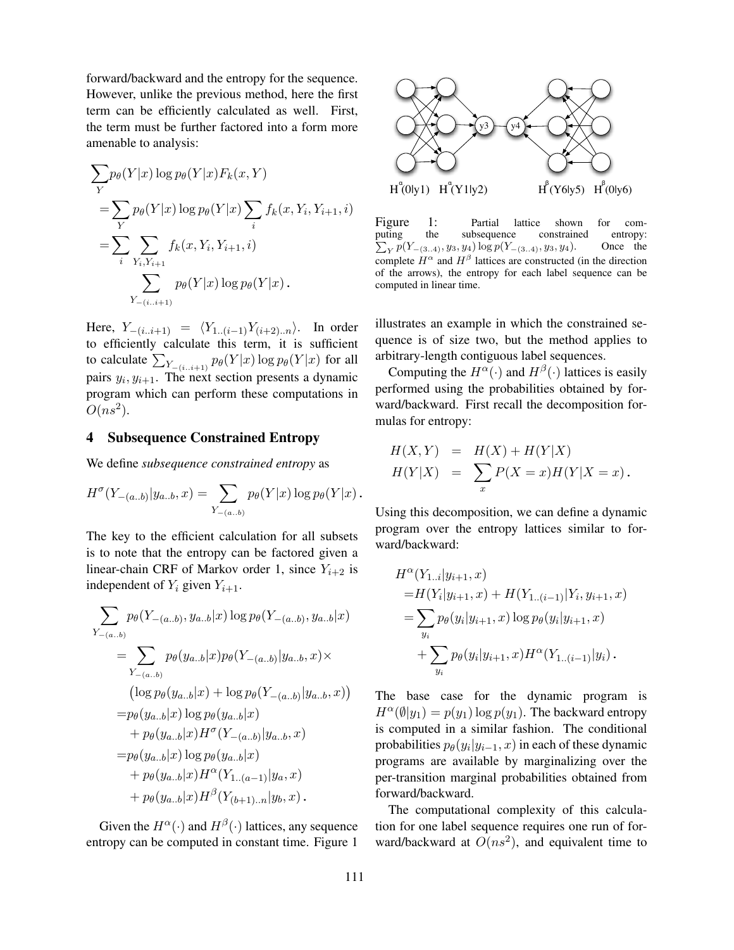forward/backward and the entropy for the sequence. However, unlike the previous method, here the first term can be efficiently calculated as well. First, the term must be further factored into a form more amenable to analysis:

$$
\sum_{Y} p_{\theta}(Y|x) \log p_{\theta}(Y|x) F_k(x, Y)
$$
  
= 
$$
\sum_{Y} p_{\theta}(Y|x) \log p_{\theta}(Y|x) \sum_{i} f_k(x, Y_i, Y_{i+1}, i)
$$
  
= 
$$
\sum_{i} \sum_{Y_i, Y_{i+1}} f_k(x, Y_i, Y_{i+1}, i)
$$
  

$$
\sum_{Y_{-(i..i+1)}} p_{\theta}(Y|x) \log p_{\theta}(Y|x).
$$

Here,  $Y_{-(i..i+1)} = \langle Y_{1..(i-1)}Y_{(i+2)..n}\rangle$ . In order to efficiently calculate this term, it is sufficient to calculate  $\sum_{Y_{-(i..i+1)}} p_{\theta}(Y|x) \log p_{\theta}(Y|x)$  for all pairs  $y_i, y_{i+1}$ . The next section presents a dynamic program which can perform these computations in  $O(ns^2)$ .

### 4 Subsequence Constrained Entropy

We define *subsequence constrained entropy* as

$$
H^{\sigma}(Y_{-(a..b)}|y_{a..b},x) = \sum_{Y_{-(a..b)}} p_{\theta}(Y|x) \log p_{\theta}(Y|x).
$$

The key to the efficient calculation for all subsets is to note that the entropy can be factored given a linear-chain CRF of Markov order 1, since  $Y_{i+2}$  is independent of  $Y_i$  given  $Y_{i+1}$ .

$$
\sum_{Y_{-(a..b)}} p_{\theta}(Y_{-(a..b)}, y_{a..b}|x) \log p_{\theta}(Y_{-(a..b)}, y_{a..b}|x)
$$
\n
$$
= \sum_{Y_{-(a..b)}} p_{\theta}(y_{a..b}|x) p_{\theta}(Y_{-(a..b)}|y_{a..b}, x) \times
$$
\n
$$
(\log p_{\theta}(y_{a..b}|x) + \log p_{\theta}(Y_{-(a..b)}|y_{a..b}, x))
$$
\n
$$
= p_{\theta}(y_{a..b}|x) \log p_{\theta}(y_{a..b}|x)
$$
\n
$$
+ p_{\theta}(y_{a..b}|x) H^{\sigma}(Y_{-(a..b)}|y_{a..b}, x)
$$
\n
$$
= p_{\theta}(y_{a..b}|x) \log p_{\theta}(y_{a..b}|x)
$$
\n
$$
+ p_{\theta}(y_{a..b}|x) H^{\alpha}(Y_{1..(a-1)}|y_{a}, x)
$$
\n
$$
+ p_{\theta}(y_{a..b}|x) H^{\beta}(Y_{(b+1)..n}|y_{b}, x).
$$

Given the  $H^{\alpha}(\cdot)$  and  $H^{\beta}(\cdot)$  lattices, any sequence entropy can be computed in constant time. Figure 1



Figure 1: Partial lattice shown for computing the subsequence constrained entropy:  $\sum_{Y} p(Y_{-(3..4)}, y_3, y_4) \log p(Y_{-(3..4)}, y_3, y_4).$  Once the complete  $H^{\alpha}$  and  $H^{\beta}$  lattices are constructed (in the direction of the arrows), the entropy for each label sequence can be computed in linear time.

illustrates an example in which the constrained sequence is of size two, but the method applies to arbitrary-length contiguous label sequences.

Computing the  $H^{\alpha}(\cdot)$  and  $H^{\beta}(\cdot)$  lattices is easily performed using the probabilities obtained by forward/backward. First recall the decomposition formulas for entropy:

$$
H(X,Y) = H(X) + H(Y|X)
$$
  
\n
$$
H(Y|X) = \sum_{x} P(X=x)H(Y|X=x).
$$

Using this decomposition, we can define a dynamic program over the entropy lattices similar to forward/backward:

$$
H^{\alpha}(Y_{1..i}|y_{i+1}, x)
$$
  
= $H(Y_i|y_{i+1}, x) + H(Y_{1..(i-1)}|Y_i, y_{i+1}, x)$   
= $\sum_{y_i} p_{\theta}(y_i|y_{i+1}, x) \log p_{\theta}(y_i|y_{i+1}, x)$   
+ $\sum_{y_i} p_{\theta}(y_i|y_{i+1}, x) H^{\alpha}(Y_{1..(i-1)}|y_i).$ 

The base case for the dynamic program is  $H^{\alpha}(\emptyset|y_1) = p(y_1) \log p(y_1)$ . The backward entropy is computed in a similar fashion. The conditional probabilities  $p_{\theta}(y_i | y_{i-1}, x)$  in each of these dynamic programs are available by marginalizing over the per-transition marginal probabilities obtained from forward/backward.

The computational complexity of this calculation for one label sequence requires one run of forward/backward at  $O(n s^2)$ , and equivalent time to